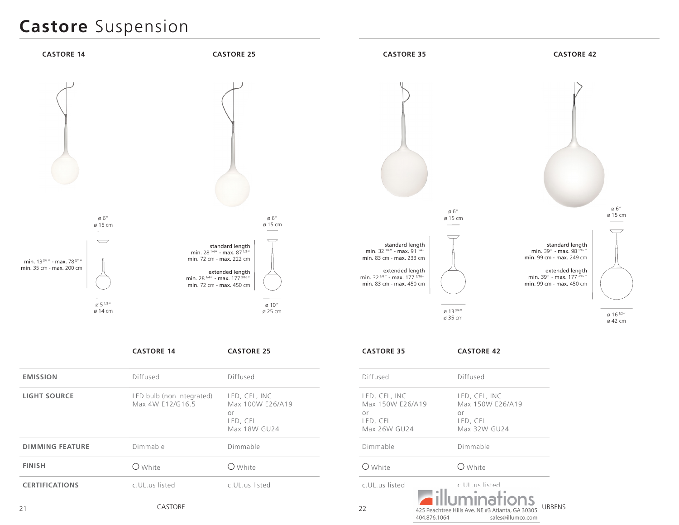## **Castore** Suspension



| <b>LIGHT SOURCE</b>    | LED bulb (non integrated)<br>Max 4W E12/G16.5 | LED, CFL, INC<br>Max 100W E26/A19<br>or<br>LED, CFL<br>Max 18W GU24 |
|------------------------|-----------------------------------------------|---------------------------------------------------------------------|
| <b>DIMMING FEATURE</b> | Dimmable                                      | Dimmable                                                            |
| <b>FINISH</b>          | ⊃ White                                       | White                                                               |
| <b>CERTIFICATIONS</b>  | c.UL.us listed                                | c.UL.us listed                                                      |

|                        | <b>CASTORE 14</b>                             | <b>CASTORE 25</b>                                                   | <b>CASTORE 35</b>                                                   | <b>CASTORE 42</b>                                                          |
|------------------------|-----------------------------------------------|---------------------------------------------------------------------|---------------------------------------------------------------------|----------------------------------------------------------------------------|
| <b>EMISSION</b>        | Diffused                                      | Diffused                                                            | Diffused                                                            | Diffused                                                                   |
| <b>LIGHT SOURCE</b>    | LED bulb (non integrated)<br>Max 4W E12/G16.5 | LED, CFL, INC<br>Max 100W E26/A19<br>or<br>LED, CFL<br>Max 18W GU24 | LED, CFL, INC<br>Max 150W E26/A19<br>or<br>LED, CFL<br>Max 26W GU24 | LED, CFL, INC<br>Max 150W E26/A19<br>or<br>LED, CFL<br>Max 32W GU24        |
| <b>DIMMING FEATURE</b> | Dimmable                                      | Dimmable                                                            | Dimmable                                                            | Dimmable                                                                   |
| <b>FINISH</b>          | O White                                       | O White                                                             | O White                                                             | O White                                                                    |
| <b>CERTIFICATIONS</b>  | c.UL.us listed                                | c.UL.us listed                                                      | c.UL.us listed                                                      | c III us listad                                                            |
| 21                     | CASTORE                                       |                                                                     | 22                                                                  | tions<br><b>UBBENS</b><br>425 Peachtree Hills Ave. NE #3 Atlanta, GA 30305 |

sales@illumco.com

404.876.1064